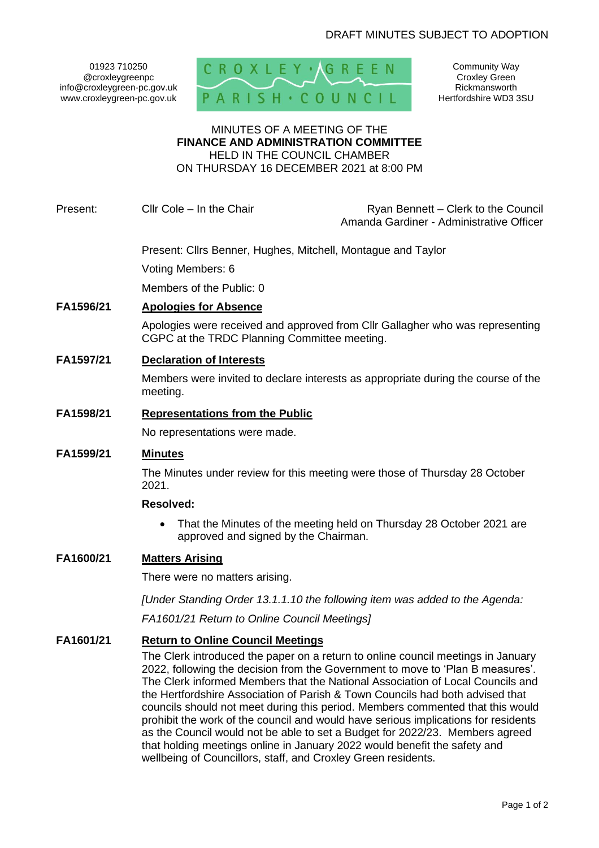01923 710250 @croxleygreenpc info@croxleygreen-pc.gov.uk www.croxleygreen-pc.gov.uk



Community Way Croxley Green Rickmansworth Hertfordshire WD3 3SU

#### MINUTES OF A MEETING OF THE **FINANCE AND ADMINISTRATION COMMITTEE** HELD IN THE COUNCIL CHAMBER

ON THURSDAY 16 DECEMBER 2021 at 8:00 PM

# Present: Cllr Cole – In the Chair Ryan Bennett – Clerk to the Council

Amanda Gardiner - Administrative Officer

Present: Cllrs Benner, Hughes, Mitchell, Montague and Taylor Voting Members: 6

Members of the Public: 0

## **FA1596/21 Apologies for Absence**

Apologies were received and approved from Cllr Gallagher who was representing CGPC at the TRDC Planning Committee meeting.

## **FA1597/21 Declaration of Interests**

Members were invited to declare interests as appropriate during the course of the meeting.

## **FA1598/21 Representations from the Public**

No representations were made.

#### **FA1599/21 Minutes**

The Minutes under review for this meeting were those of Thursday 28 October 2021.

## **Resolved:**

• That the Minutes of the meeting held on Thursday 28 October 2021 are approved and signed by the Chairman.

## **FA1600/21 Matters Arising**

There were no matters arising.

*[Under Standing Order 13.1.1.10 the following item was added to the Agenda:*

*FA1601/21 Return to Online Council Meetings]*

#### **FA1601/21 Return to Online Council Meetings**

The Clerk introduced the paper on a return to online council meetings in January 2022, following the decision from the Government to move to 'Plan B measures'. The Clerk informed Members that the National Association of Local Councils and the Hertfordshire Association of Parish & Town Councils had both advised that councils should not meet during this period. Members commented that this would prohibit the work of the council and would have serious implications for residents as the Council would not be able to set a Budget for 2022/23. Members agreed that holding meetings online in January 2022 would benefit the safety and wellbeing of Councillors, staff, and Croxley Green residents.